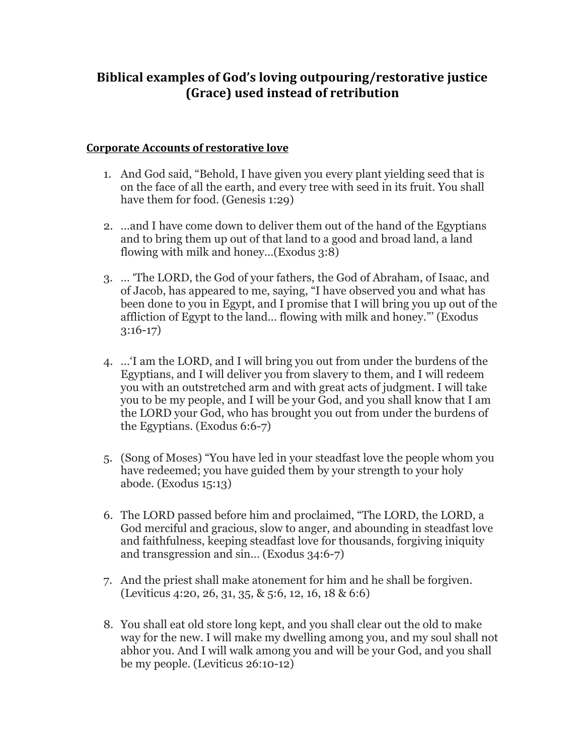## **Biblical examples of God's loving outpouring/restorative justice (Grace) used instead of retribution**

## **Corporate Accounts of restorative love**

- 1. And God said, "Behold, I have given you every plant yielding seed that is on the face of all the earth, and every tree with seed in its fruit. You shall have them for food. (Genesis 1:29)
- 2. …and I have come down to deliver them out of the hand of the Egyptians and to bring them up out of that land to a good and broad land, a land flowing with milk and honey…(Exodus 3:8)
- 3. … 'The LORD, the God of your fathers, the God of Abraham, of Isaac, and of Jacob, has appeared to me, saying, "I have observed you and what has been done to you in Egypt, and I promise that I will bring you up out of the affliction of Egypt to the land… flowing with milk and honey."' (Exodus 3:16-17)
- 4. …'I am the LORD, and I will bring you out from under the burdens of the Egyptians, and I will deliver you from slavery to them, and I will redeem you with an outstretched arm and with great acts of judgment. I will take you to be my people, and I will be your God, and you shall know that I am the LORD your God, who has brought you out from under the burdens of the Egyptians. (Exodus 6:6-7)
- 5. (Song of Moses) "You have led in your steadfast love the people whom you have redeemed; you have guided them by your strength to your holy abode. (Exodus 15:13)
- 6. The LORD passed before him and proclaimed, "The LORD, the LORD, a God merciful and gracious, slow to anger, and abounding in steadfast love and faithfulness, keeping steadfast love for thousands, forgiving iniquity and transgression and sin… (Exodus 34:6-7)
- 7. And the priest shall make atonement for him and he shall be forgiven. (Leviticus 4:20, 26, 31, 35, & 5:6, 12, 16, 18 & 6:6)
- 8. You shall eat old store long kept, and you shall clear out the old to make way for the new. I will make my dwelling among you, and my soul shall not abhor you. And I will walk among you and will be your God, and you shall be my people. (Leviticus 26:10-12)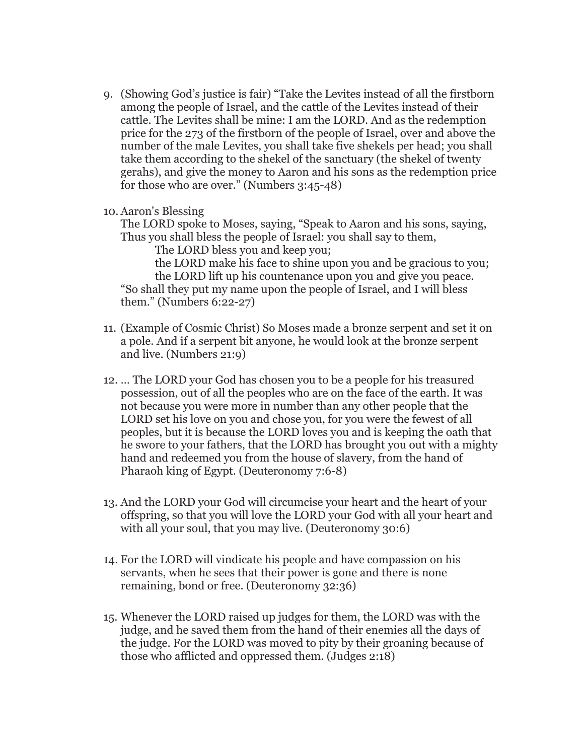- 9. (Showing God's justice is fair) "Take the Levites instead of all the firstborn among the people of Israel, and the cattle of the Levites instead of their cattle. The Levites shall be mine: I am the LORD. And as the redemption price for the 273 of the firstborn of the people of Israel, over and above the number of the male Levites, you shall take five shekels per head; you shall take them according to the shekel of the sanctuary (the shekel of twenty gerahs), and give the money to Aaron and his sons as the redemption price for those who are over." (Numbers 3:45-48)
- 10. Aaron's Blessing

The LORD spoke to Moses, saying, "Speak to Aaron and his sons, saying, Thus you shall bless the people of Israel: you shall say to them,

The LORD bless you and keep you;

the LORD make his face to shine upon you and be gracious to you; the LORD lift up his countenance upon you and give you peace. "So shall they put my name upon the people of Israel, and I will bless them." (Numbers 6:22-27)

- 11. (Example of Cosmic Christ) So Moses made a bronze serpent and set it on a pole. And if a serpent bit anyone, he would look at the bronze serpent and live. (Numbers 21:9)
- 12. … The LORD your God has chosen you to be a people for his treasured possession, out of all the peoples who are on the face of the earth. It was not because you were more in number than any other people that the LORD set his love on you and chose you, for you were the fewest of all peoples, but it is because the LORD loves you and is keeping the oath that he swore to your fathers, that the LORD has brought you out with a mighty hand and redeemed you from the house of slavery, from the hand of Pharaoh king of Egypt. (Deuteronomy 7:6-8)
- 13. And the LORD your God will circumcise your heart and the heart of your offspring, so that you will love the LORD your God with all your heart and with all your soul, that you may live. (Deuteronomy 30:6)
- 14. For the LORD will vindicate his people and have compassion on his servants, when he sees that their power is gone and there is none remaining, bond or free. (Deuteronomy 32:36)
- 15. Whenever the LORD raised up judges for them, the LORD was with the judge, and he saved them from the hand of their enemies all the days of the judge. For the LORD was moved to pity by their groaning because of those who afflicted and oppressed them. (Judges 2:18)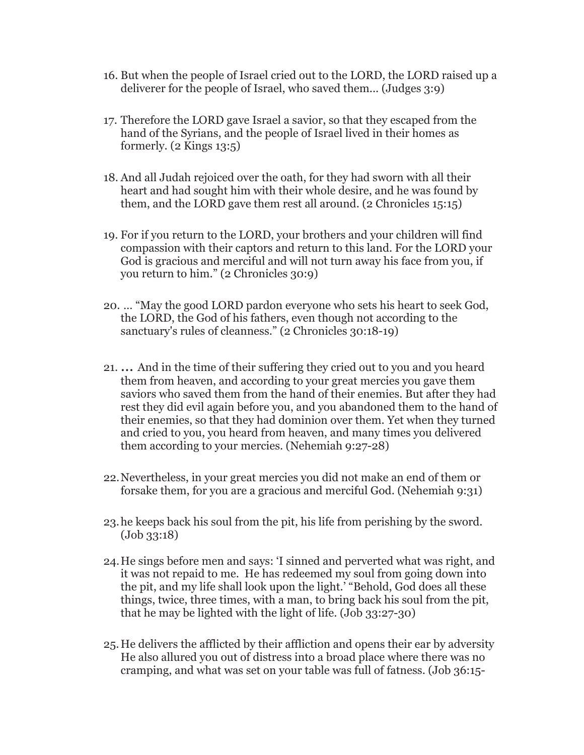- 16. But when the people of Israel cried out to the LORD, the LORD raised up a deliverer for the people of Israel, who saved them... (Judges 3:9)
- 17. Therefore the LORD gave Israel a savior, so that they escaped from the hand of the Syrians, and the people of Israel lived in their homes as formerly.  $(2$  Kings  $13:5$ )
- 18. And all Judah rejoiced over the oath, for they had sworn with all their heart and had sought him with their whole desire, and he was found by them, and the LORD gave them rest all around. (2 Chronicles 15:15)
- 19. For if you return to the LORD, your brothers and your children will find compassion with their captors and return to this land. For the LORD your God is gracious and merciful and will not turn away his face from you, if you return to him." (2 Chronicles 30:9)
- 20. … "May the good LORD pardon everyone who sets his heart to seek God, the LORD, the God of his fathers, even though not according to the sanctuary's rules of cleanness." (2 Chronicles 30:18-19)
- 21. … And in the time of their suffering they cried out to you and you heard them from heaven, and according to your great mercies you gave them saviors who saved them from the hand of their enemies. But after they had rest they did evil again before you, and you abandoned them to the hand of their enemies, so that they had dominion over them. Yet when they turned and cried to you, you heard from heaven, and many times you delivered them according to your mercies. (Nehemiah 9:27-28)
- 22.Nevertheless, in your great mercies you did not make an end of them or forsake them, for you are a gracious and merciful God. (Nehemiah 9:31)
- 23.he keeps back his soul from the pit, his life from perishing by the sword. (Job 33:18)
- 24.He sings before men and says: 'I sinned and perverted what was right, and it was not repaid to me. He has redeemed my soul from going down into the pit, and my life shall look upon the light.' "Behold, God does all these things, twice, three times, with a man, to bring back his soul from the pit, that he may be lighted with the light of life. (Job 33:27-30)
- 25. He delivers the afflicted by their affliction and opens their ear by adversity He also allured you out of distress into a broad place where there was no cramping, and what was set on your table was full of fatness. (Job 36:15-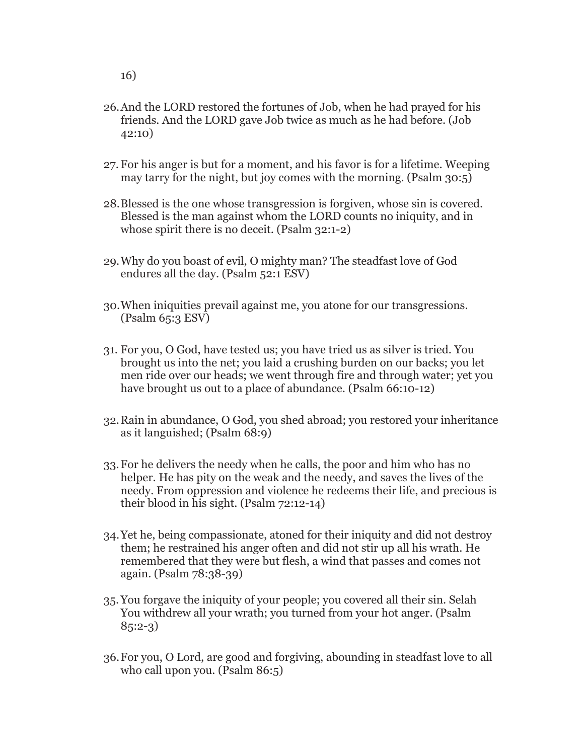- 26.And the LORD restored the fortunes of Job, when he had prayed for his friends. And the LORD gave Job twice as much as he had before. (Job 42:10)
- 27. For his anger is but for a moment, and his favor is for a lifetime. Weeping may tarry for the night, but joy comes with the morning. (Psalm 30:5)
- 28.Blessed is the one whose transgression is forgiven, whose sin is covered. Blessed is the man against whom the LORD counts no iniquity, and in whose spirit there is no deceit. (Psalm 32:1-2)
- 29.Why do you boast of evil, O mighty man? The steadfast love of God endures all the day. (Psalm 52:1 ESV)
- 30.When iniquities prevail against me, you atone for our transgressions. (Psalm 65:3 ESV)
- 31. For you, O God, have tested us; you have tried us as silver is tried. You brought us into the net; you laid a crushing burden on our backs; you let men ride over our heads; we went through fire and through water; yet you have brought us out to a place of abundance. (Psalm 66:10-12)
- 32.Rain in abundance, O God, you shed abroad; you restored your inheritance as it languished; (Psalm 68:9)
- 33.For he delivers the needy when he calls, the poor and him who has no helper. He has pity on the weak and the needy, and saves the lives of the needy. From oppression and violence he redeems their life, and precious is their blood in his sight. (Psalm 72:12-14)
- 34.Yet he, being compassionate, atoned for their iniquity and did not destroy them; he restrained his anger often and did not stir up all his wrath. He remembered that they were but flesh, a wind that passes and comes not again. (Psalm 78:38-39)
- 35.You forgave the iniquity of your people; you covered all their sin. Selah You withdrew all your wrath; you turned from your hot anger. (Psalm 85:2-3)
- 36.For you, O Lord, are good and forgiving, abounding in steadfast love to all who call upon you. (Psalm 86:5)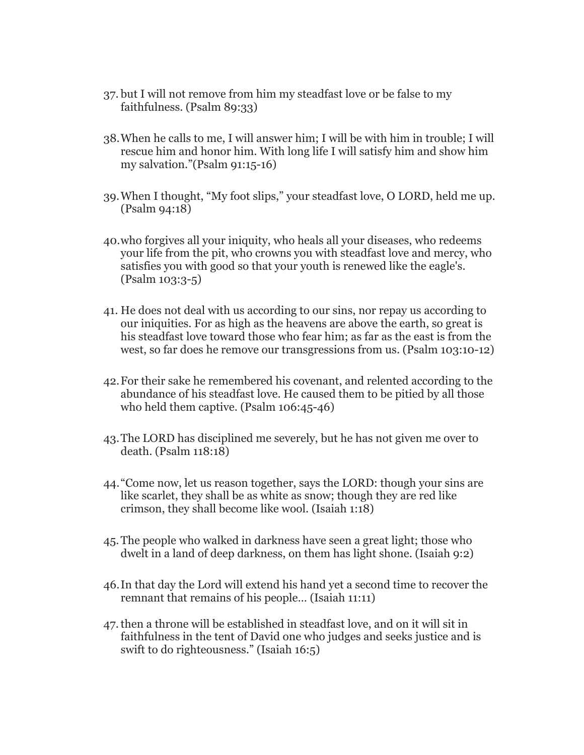- 37. but I will not remove from him my steadfast love or be false to my faithfulness. (Psalm 89:33)
- 38.When he calls to me, I will answer him; I will be with him in trouble; I will rescue him and honor him. With long life I will satisfy him and show him my salvation."(Psalm 91:15-16)
- 39.When I thought, "My foot slips," your steadfast love, O LORD, held me up. (Psalm 94:18)
- 40.who forgives all your iniquity, who heals all your diseases, who redeems your life from the pit, who crowns you with steadfast love and mercy, who satisfies you with good so that your youth is renewed like the eagle's. (Psalm 103:3-5)
- 41. He does not deal with us according to our sins, nor repay us according to our iniquities. For as high as the heavens are above the earth, so great is his steadfast love toward those who fear him; as far as the east is from the west, so far does he remove our transgressions from us. (Psalm 103:10-12)
- 42.For their sake he remembered his covenant, and relented according to the abundance of his steadfast love. He caused them to be pitied by all those who held them captive. (Psalm 106:45-46)
- 43.The LORD has disciplined me severely, but he has not given me over to death. (Psalm 118:18)
- 44."Come now, let us reason together, says the LORD: though your sins are like scarlet, they shall be as white as snow; though they are red like crimson, they shall become like wool. (Isaiah 1:18)
- 45.The people who walked in darkness have seen a great light; those who dwelt in a land of deep darkness, on them has light shone. (Isaiah 9:2)
- 46.In that day the Lord will extend his hand yet a second time to recover the remnant that remains of his people… (Isaiah 11:11)
- 47.then a throne will be established in steadfast love, and on it will sit in faithfulness in the tent of David one who judges and seeks justice and is swift to do righteousness." (Isaiah 16:5)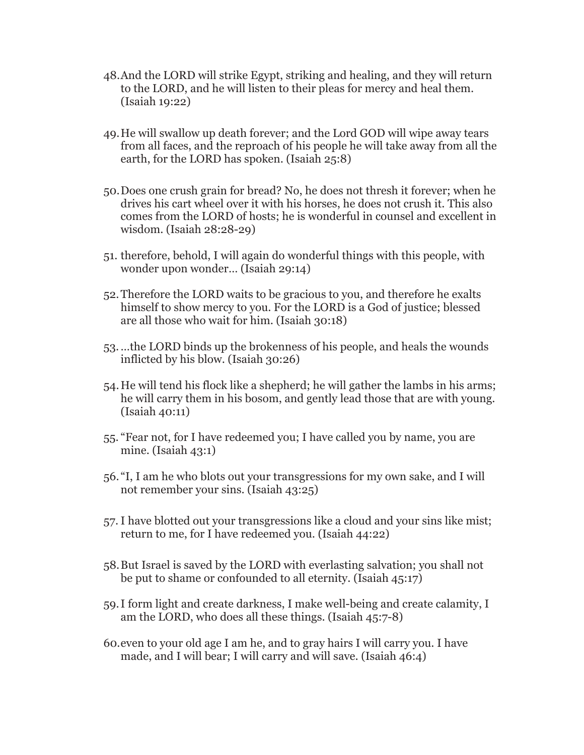- 48.And the LORD will strike Egypt, striking and healing, and they will return to the LORD, and he will listen to their pleas for mercy and heal them. (Isaiah 19:22)
- 49.He will swallow up death forever; and the Lord GOD will wipe away tears from all faces, and the reproach of his people he will take away from all the earth, for the LORD has spoken. (Isaiah 25:8)
- 50.Does one crush grain for bread? No, he does not thresh it forever; when he drives his cart wheel over it with his horses, he does not crush it. This also comes from the LORD of hosts; he is wonderful in counsel and excellent in wisdom. (Isaiah 28:28-29)
- 51. therefore, behold, I will again do wonderful things with this people, with wonder upon wonder… (Isaiah 29:14)
- 52.Therefore the LORD waits to be gracious to you, and therefore he exalts himself to show mercy to you. For the LORD is a God of justice; blessed are all those who wait for him. (Isaiah 30:18)
- 53. …the LORD binds up the brokenness of his people, and heals the wounds inflicted by his blow. (Isaiah 30:26)
- 54. He will tend his flock like a shepherd; he will gather the lambs in his arms; he will carry them in his bosom, and gently lead those that are with young. (Isaiah 40:11)
- 55. "Fear not, for I have redeemed you; I have called you by name, you are mine. (Isaiah 43:1)
- 56. "I, I am he who blots out your transgressions for my own sake, and I will not remember your sins. (Isaiah 43:25)
- 57. I have blotted out your transgressions like a cloud and your sins like mist; return to me, for I have redeemed you. (Isaiah 44:22)
- 58.But Israel is saved by the LORD with everlasting salvation; you shall not be put to shame or confounded to all eternity. (Isaiah 45:17)
- 59.I form light and create darkness, I make well-being and create calamity, I am the LORD, who does all these things. (Isaiah 45:7-8)
- 60.even to your old age I am he, and to gray hairs I will carry you. I have made, and I will bear; I will carry and will save. (Isaiah 46:4)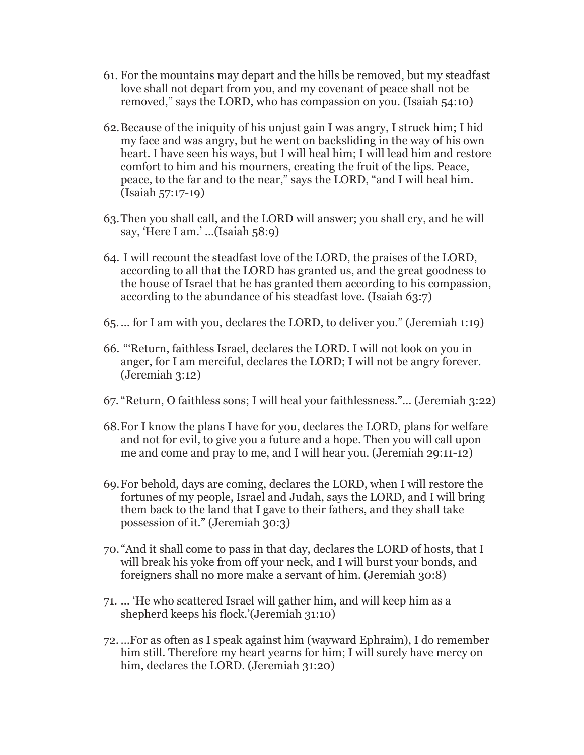- 61. For the mountains may depart and the hills be removed, but my steadfast love shall not depart from you, and my covenant of peace shall not be removed," says the LORD, who has compassion on you. (Isaiah 54:10)
- 62.Because of the iniquity of his unjust gain I was angry, I struck him; I hid my face and was angry, but he went on backsliding in the way of his own heart. I have seen his ways, but I will heal him; I will lead him and restore comfort to him and his mourners, creating the fruit of the lips. Peace, peace, to the far and to the near," says the LORD, "and I will heal him. (Isaiah 57:17-19)
- 63.Then you shall call, and the LORD will answer; you shall cry, and he will say, 'Here I am.' …(Isaiah 58:9)
- 64. I will recount the steadfast love of the LORD, the praises of the LORD, according to all that the LORD has granted us, and the great goodness to the house of Israel that he has granted them according to his compassion, according to the abundance of his steadfast love. (Isaiah 63:7)
- 65. … for I am with you, declares the LORD, to deliver you." (Jeremiah 1:19)
- 66. "'Return, faithless Israel, declares the LORD. I will not look on you in anger, for I am merciful, declares the LORD; I will not be angry forever. (Jeremiah 3:12)
- 67. "Return, O faithless sons; I will heal your faithlessness."… (Jeremiah 3:22)
- 68.For I know the plans I have for you, declares the LORD, plans for welfare and not for evil, to give you a future and a hope. Then you will call upon me and come and pray to me, and I will hear you. (Jeremiah 29:11-12)
- 69.For behold, days are coming, declares the LORD, when I will restore the fortunes of my people, Israel and Judah, says the LORD, and I will bring them back to the land that I gave to their fathers, and they shall take possession of it." (Jeremiah 30:3)
- 70. "And it shall come to pass in that day, declares the LORD of hosts, that I will break his yoke from off your neck, and I will burst your bonds, and foreigners shall no more make a servant of him. (Jeremiah 30:8)
- 71. … 'He who scattered Israel will gather him, and will keep him as a shepherd keeps his flock.'(Jeremiah 31:10)
- 72. …For as often as I speak against him (wayward Ephraim), I do remember him still. Therefore my heart yearns for him; I will surely have mercy on him, declares the LORD. (Jeremiah 31:20)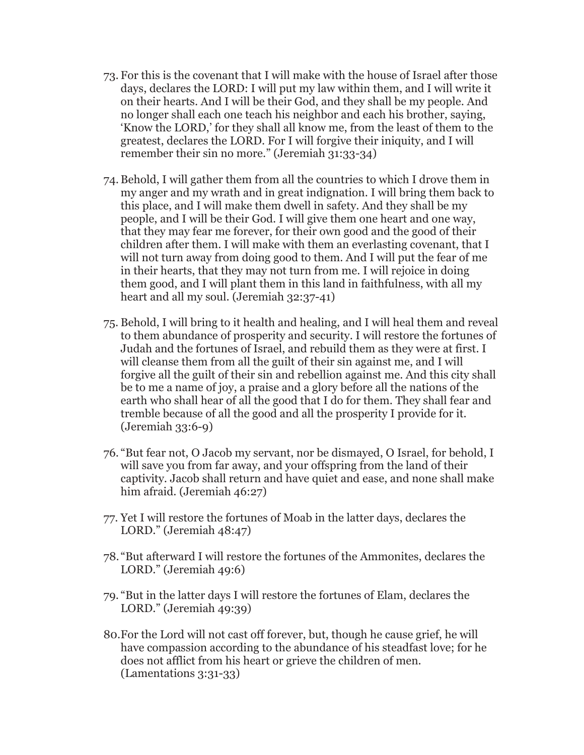- 73. For this is the covenant that I will make with the house of Israel after those days, declares the LORD: I will put my law within them, and I will write it on their hearts. And I will be their God, and they shall be my people. And no longer shall each one teach his neighbor and each his brother, saying, 'Know the LORD,' for they shall all know me, from the least of them to the greatest, declares the LORD. For I will forgive their iniquity, and I will remember their sin no more." (Jeremiah 31:33-34)
- 74.Behold, I will gather them from all the countries to which I drove them in my anger and my wrath and in great indignation. I will bring them back to this place, and I will make them dwell in safety. And they shall be my people, and I will be their God. I will give them one heart and one way, that they may fear me forever, for their own good and the good of their children after them. I will make with them an everlasting covenant, that I will not turn away from doing good to them. And I will put the fear of me in their hearts, that they may not turn from me. I will rejoice in doing them good, and I will plant them in this land in faithfulness, with all my heart and all my soul. (Jeremiah 32:37-41)
- 75. Behold, I will bring to it health and healing, and I will heal them and reveal to them abundance of prosperity and security. I will restore the fortunes of Judah and the fortunes of Israel, and rebuild them as they were at first. I will cleanse them from all the guilt of their sin against me, and I will forgive all the guilt of their sin and rebellion against me. And this city shall be to me a name of joy, a praise and a glory before all the nations of the earth who shall hear of all the good that I do for them. They shall fear and tremble because of all the good and all the prosperity I provide for it. (Jeremiah 33:6-9)
- 76. "But fear not, O Jacob my servant, nor be dismayed, O Israel, for behold, I will save you from far away, and your offspring from the land of their captivity. Jacob shall return and have quiet and ease, and none shall make him afraid. (Jeremiah 46:27)
- 77. Yet I will restore the fortunes of Moab in the latter days, declares the LORD." (Jeremiah 48:47)
- 78. "But afterward I will restore the fortunes of the Ammonites, declares the LORD." (Jeremiah 49:6)
- 79. "But in the latter days I will restore the fortunes of Elam, declares the LORD." (Jeremiah 49:39)
- 80.For the Lord will not cast off forever, but, though he cause grief, he will have compassion according to the abundance of his steadfast love; for he does not afflict from his heart or grieve the children of men. (Lamentations 3:31-33)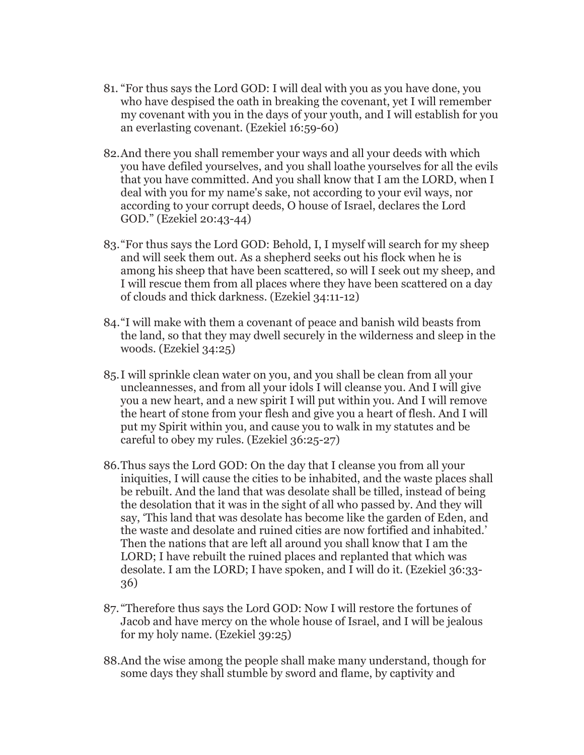- 81. "For thus says the Lord GOD: I will deal with you as you have done, you who have despised the oath in breaking the covenant, yet I will remember my covenant with you in the days of your youth, and I will establish for you an everlasting covenant. (Ezekiel 16:59-60)
- 82.And there you shall remember your ways and all your deeds with which you have defiled yourselves, and you shall loathe yourselves for all the evils that you have committed. And you shall know that I am the LORD, when I deal with you for my name's sake, not according to your evil ways, nor according to your corrupt deeds, O house of Israel, declares the Lord GOD." (Ezekiel 20:43-44)
- 83."For thus says the Lord GOD: Behold, I, I myself will search for my sheep and will seek them out. As a shepherd seeks out his flock when he is among his sheep that have been scattered, so will I seek out my sheep, and I will rescue them from all places where they have been scattered on a day of clouds and thick darkness. (Ezekiel 34:11-12)
- 84."I will make with them a covenant of peace and banish wild beasts from the land, so that they may dwell securely in the wilderness and sleep in the woods. (Ezekiel 34:25)
- 85.I will sprinkle clean water on you, and you shall be clean from all your uncleannesses, and from all your idols I will cleanse you. And I will give you a new heart, and a new spirit I will put within you. And I will remove the heart of stone from your flesh and give you a heart of flesh. And I will put my Spirit within you, and cause you to walk in my statutes and be careful to obey my rules. (Ezekiel 36:25-27)
- 86.Thus says the Lord GOD: On the day that I cleanse you from all your iniquities, I will cause the cities to be inhabited, and the waste places shall be rebuilt. And the land that was desolate shall be tilled, instead of being the desolation that it was in the sight of all who passed by. And they will say, 'This land that was desolate has become like the garden of Eden, and the waste and desolate and ruined cities are now fortified and inhabited.' Then the nations that are left all around you shall know that I am the LORD; I have rebuilt the ruined places and replanted that which was desolate. I am the LORD; I have spoken, and I will do it. (Ezekiel 36:33- 36)
- 87. "Therefore thus says the Lord GOD: Now I will restore the fortunes of Jacob and have mercy on the whole house of Israel, and I will be jealous for my holy name. (Ezekiel 39:25)
- 88.And the wise among the people shall make many understand, though for some days they shall stumble by sword and flame, by captivity and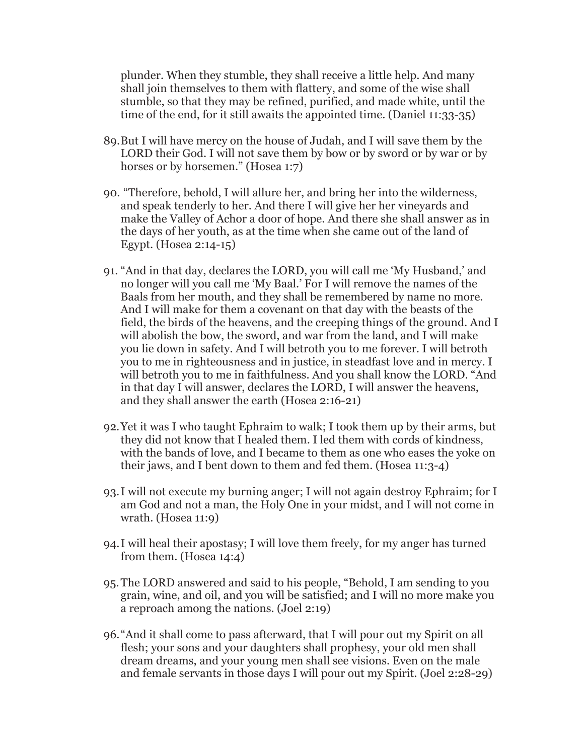plunder. When they stumble, they shall receive a little help. And many shall join themselves to them with flattery, and some of the wise shall stumble, so that they may be refined, purified, and made white, until the time of the end, for it still awaits the appointed time. (Daniel 11:33-35)

- 89.But I will have mercy on the house of Judah, and I will save them by the LORD their God. I will not save them by bow or by sword or by war or by horses or by horsemen." (Hosea 1:7)
- 90. "Therefore, behold, I will allure her, and bring her into the wilderness, and speak tenderly to her. And there I will give her her vineyards and make the Valley of Achor a door of hope. And there she shall answer as in the days of her youth, as at the time when she came out of the land of Egypt. (Hosea 2:14-15)
- 91. "And in that day, declares the LORD, you will call me 'My Husband,' and no longer will you call me 'My Baal.' For I will remove the names of the Baals from her mouth, and they shall be remembered by name no more. And I will make for them a covenant on that day with the beasts of the field, the birds of the heavens, and the creeping things of the ground. And I will abolish the bow, the sword, and war from the land, and I will make you lie down in safety. And I will betroth you to me forever. I will betroth you to me in righteousness and in justice, in steadfast love and in mercy. I will betroth you to me in faithfulness. And you shall know the LORD. "And in that day I will answer, declares the LORD, I will answer the heavens, and they shall answer the earth (Hosea 2:16-21)
- 92.Yet it was I who taught Ephraim to walk; I took them up by their arms, but they did not know that I healed them. I led them with cords of kindness, with the bands of love, and I became to them as one who eases the yoke on their jaws, and I bent down to them and fed them. (Hosea 11:3-4)
- 93.I will not execute my burning anger; I will not again destroy Ephraim; for I am God and not a man, the Holy One in your midst, and I will not come in wrath. (Hosea 11:9)
- 94.I will heal their apostasy; I will love them freely, for my anger has turned from them. (Hosea 14:4)
- 95.The LORD answered and said to his people, "Behold, I am sending to you grain, wine, and oil, and you will be satisfied; and I will no more make you a reproach among the nations. (Joel 2:19)
- 96."And it shall come to pass afterward, that I will pour out my Spirit on all flesh; your sons and your daughters shall prophesy, your old men shall dream dreams, and your young men shall see visions. Even on the male and female servants in those days I will pour out my Spirit. (Joel 2:28-29)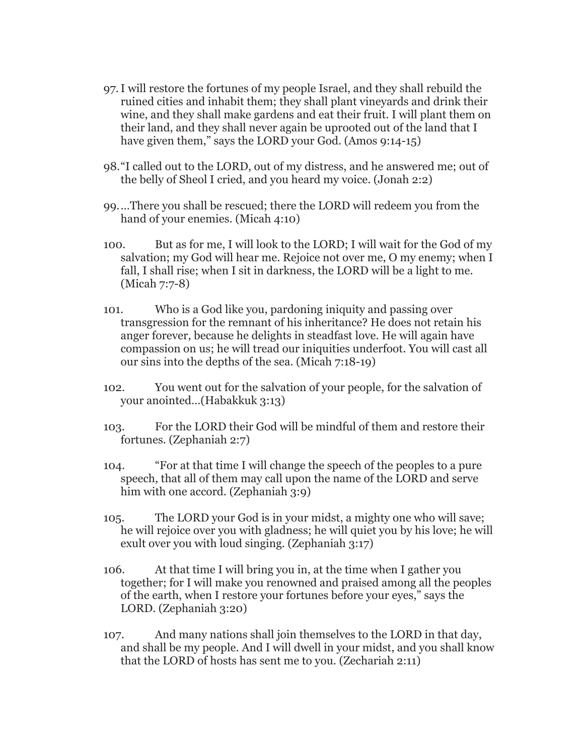- 97.I will restore the fortunes of my people Israel, and they shall rebuild the ruined cities and inhabit them; they shall plant vineyards and drink their wine, and they shall make gardens and eat their fruit. I will plant them on their land, and they shall never again be uprooted out of the land that I have given them," says the LORD your God. (Amos 9:14-15)
- 98."I called out to the LORD, out of my distress, and he answered me; out of the belly of Sheol I cried, and you heard my voice. (Jonah 2:2)
- 99.…There you shall be rescued; there the LORD will redeem you from the hand of your enemies. (Micah 4:10)
- 100. But as for me, I will look to the LORD; I will wait for the God of my salvation; my God will hear me. Rejoice not over me, O my enemy; when I fall, I shall rise; when I sit in darkness, the LORD will be a light to me. (Micah 7:7-8)
- 101. Who is a God like you, pardoning iniquity and passing over transgression for the remnant of his inheritance? He does not retain his anger forever, because he delights in steadfast love. He will again have compassion on us; he will tread our iniquities underfoot. You will cast all our sins into the depths of the sea. (Micah 7:18-19)
- 102. You went out for the salvation of your people, for the salvation of your anointed…(Habakkuk 3:13)
- 103. For the LORD their God will be mindful of them and restore their fortunes. (Zephaniah 2:7)
- 104. "For at that time I will change the speech of the peoples to a pure speech, that all of them may call upon the name of the LORD and serve him with one accord. (Zephaniah 3:9)
- 105. The LORD your God is in your midst, a mighty one who will save; he will rejoice over you with gladness; he will quiet you by his love; he will exult over you with loud singing. (Zephaniah 3:17)
- 106. At that time I will bring you in, at the time when I gather you together; for I will make you renowned and praised among all the peoples of the earth, when I restore your fortunes before your eyes," says the LORD. (Zephaniah 3:20)
- 107. And many nations shall join themselves to the LORD in that day, and shall be my people. And I will dwell in your midst, and you shall know that the LORD of hosts has sent me to you. (Zechariah 2:11)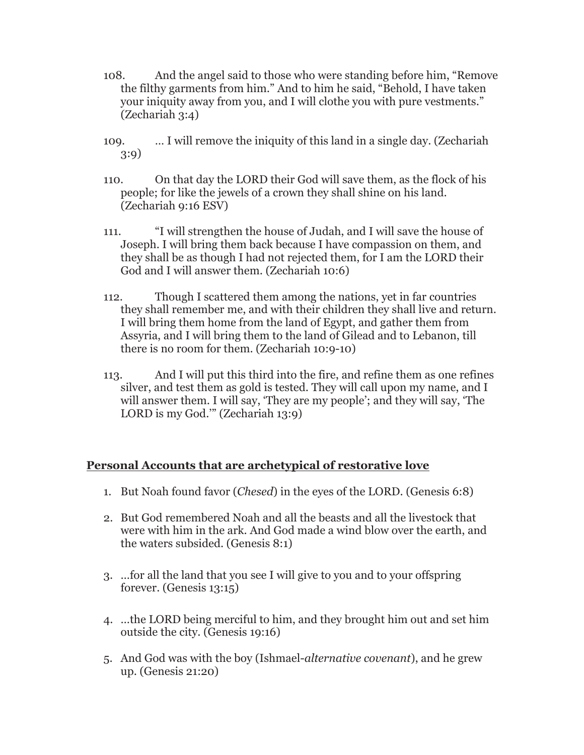- 108. And the angel said to those who were standing before him, "Remove the filthy garments from him." And to him he said, "Behold, I have taken your iniquity away from you, and I will clothe you with pure vestments." (Zechariah 3:4)
- 109. … I will remove the iniquity of this land in a single day. (Zechariah 3:9)
- 110. On that day the LORD their God will save them, as the flock of his people; for like the jewels of a crown they shall shine on his land. (Zechariah 9:16 ESV)
- 111. "I will strengthen the house of Judah, and I will save the house of Joseph. I will bring them back because I have compassion on them, and they shall be as though I had not rejected them, for I am the LORD their God and I will answer them. (Zechariah 10:6)
- 112. Though I scattered them among the nations, yet in far countries they shall remember me, and with their children they shall live and return. I will bring them home from the land of Egypt, and gather them from Assyria, and I will bring them to the land of Gilead and to Lebanon, till there is no room for them. (Zechariah 10:9-10)
- 113. And I will put this third into the fire, and refine them as one refines silver, and test them as gold is tested. They will call upon my name, and I will answer them. I will say, 'They are my people'; and they will say, 'The LORD is my God.'" (Zechariah 13:9)

## **Personal Accounts that are archetypical of restorative love**

- 1. But Noah found favor (*Chesed*) in the eyes of the LORD. (Genesis 6:8)
- 2. But God remembered Noah and all the beasts and all the livestock that were with him in the ark. And God made a wind blow over the earth, and the waters subsided. (Genesis 8:1)
- 3. …for all the land that you see I will give to you and to your offspring forever. (Genesis 13:15)
- 4. …the LORD being merciful to him, and they brought him out and set him outside the city. (Genesis 19:16)
- 5. And God was with the boy (Ishmael-*alternative covenant*), and he grew up. (Genesis 21:20)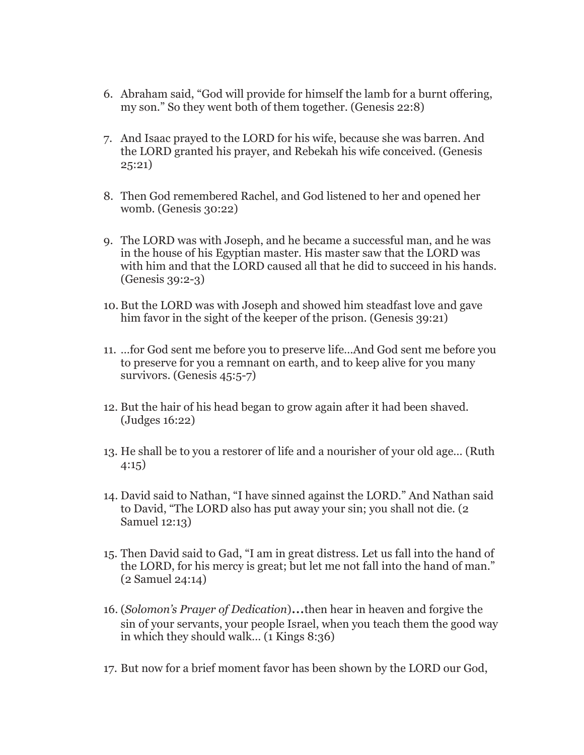- 6. Abraham said, "God will provide for himself the lamb for a burnt offering, my son." So they went both of them together. (Genesis 22:8)
- 7. And Isaac prayed to the LORD for his wife, because she was barren. And the LORD granted his prayer, and Rebekah his wife conceived. (Genesis 25:21)
- 8. Then God remembered Rachel, and God listened to her and opened her womb. (Genesis 30:22)
- 9. The LORD was with Joseph, and he became a successful man, and he was in the house of his Egyptian master. His master saw that the LORD was with him and that the LORD caused all that he did to succeed in his hands. (Genesis 39:2-3)
- 10. But the LORD was with Joseph and showed him steadfast love and gave him favor in the sight of the keeper of the prison. (Genesis 39:21)
- 11. …for God sent me before you to preserve life…And God sent me before you to preserve for you a remnant on earth, and to keep alive for you many survivors. (Genesis 45:5-7)
- 12. But the hair of his head began to grow again after it had been shaved. (Judges 16:22)
- 13. He shall be to you a restorer of life and a nourisher of your old age… (Ruth 4:15)
- 14. David said to Nathan, "I have sinned against the LORD." And Nathan said to David, "The LORD also has put away your sin; you shall not die. (2 Samuel 12:13)
- 15. Then David said to Gad, "I am in great distress. Let us fall into the hand of the LORD, for his mercy is great; but let me not fall into the hand of man." (2 Samuel 24:14)
- 16. (*Solomon's Prayer of Dedication*)…then hear in heaven and forgive the sin of your servants, your people Israel, when you teach them the good way in which they should walk… (1 Kings 8:36)
- 17. But now for a brief moment favor has been shown by the LORD our God,